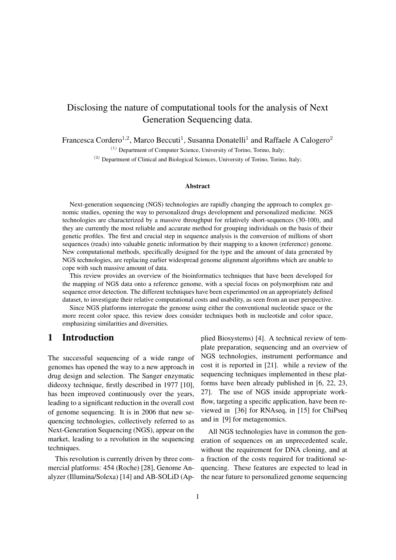# Disclosing the nature of computational tools for the analysis of Next Generation Sequencing data.

Francesca Cordero<sup>1,2</sup>, Marco Beccuti<sup>1</sup>, Susanna Donatelli<sup>1</sup> and Raffaele A Calogero<sup>2</sup>

(1) Department of Computer Science, University of Torino, Torino, Italy;

(2) Department of Clinical and Biological Sciences, University of Torino, Torino, Italy;

#### Abstract

Next-generation sequencing (NGS) technologies are rapidly changing the approach to complex genomic studies, opening the way to personalized drugs development and personalized medicine. NGS technologies are characterized by a massive throughput for relatively short-sequences (30-100), and they are currently the most reliable and accurate method for grouping individuals on the basis of their genetic profiles. The first and crucial step in sequence analysis is the conversion of millions of short sequences (reads) into valuable genetic information by their mapping to a known (reference) genome. New computational methods, specifically designed for the type and the amount of data generated by NGS technologies, are replacing earlier widespread genome alignment algorithms which are unable to cope with such massive amount of data.

This review provides an overview of the bioinformatics techniques that have been developed for the mapping of NGS data onto a reference genome, with a special focus on polymorphism rate and sequence error detection. The different techniques have been experimented on an appropriately defined dataset, to investigate their relative computational costs and usability, as seen from an user perspective.

Since NGS platforms interrogate the genome using either the conventional nucleotide space or the more recent color space, this review does consider techniques both in nucleotide and color space, emphasizing similarities and diversities.

## 1 Introduction

The successful sequencing of a wide range of genomes has opened the way to a new approach in drug design and selection. The Sanger enzymatic dideoxy technique, firstly described in 1977 [10], has been improved continuously over the years, leading to a significant reduction in the overall cost of genome sequencing. It is in 2006 that new sequencing technologies, collectively referred to as Next-Generation Sequencing (NGS), appear on the market, leading to a revolution in the sequencing techniques.

This revolution is currently driven by three commercial platforms: 454 (Roche) [28], Genome Analyzer (Illumina/Solexa) [14] and AB-SOLiD (Applied Biosystems) [4]. A technical review of template preparation, sequencing and an overview of NGS technologies, instrument performance and cost it is reported in [21]. while a review of the sequencing techniques implemented in these platforms have been already published in [6, 22, 23, 27]. The use of NGS inside appropriate workflow, targeting a specific application, have been reviewed in [36] for RNAseq, in [15] for ChiPseq and in [9] for metagenomics.

All NGS technologies have in common the generation of sequences on an unprecedented scale, without the requirement for DNA cloning, and at a fraction of the costs required for traditional sequencing. These features are expected to lead in the near future to personalized genome sequencing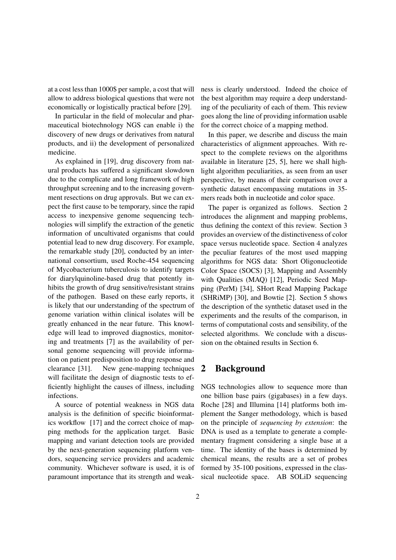at a cost less than 1000\$ per sample, a cost that will allow to address biological questions that were not economically or logistically practical before [29].

In particular in the field of molecular and pharmaceutical biotechnology NGS can enable i) the discovery of new drugs or derivatives from natural products, and ii) the development of personalized medicine.

As explained in [19], drug discovery from natural products has suffered a significant slowdown due to the complicate and long framework of high throughput screening and to the increasing government resections on drug approvals. But we can expect the first cause to be temporary, since the rapid access to inexpensive genome sequencing technologies will simplify the extraction of the genetic information of uncultivated organisms that could potential lead to new drug discovery. For example, the remarkable study [20], conducted by an international consortium, used Roche-454 sequencing of Mycobacterium tuberculosis to identify targets for diarylquinoline-based drug that potently inhibits the growth of drug sensitive/resistant strains of the pathogen. Based on these early reports, it is likely that our understanding of the spectrum of genome variation within clinical isolates will be greatly enhanced in the near future. This knowledge will lead to improved diagnostics, monitoring and treatments [7] as the availability of personal genome sequencing will provide information on patient predisposition to drug response and clearance [31]. New gene-mapping techniques will facilitate the design of diagnostic tests to efficiently highlight the causes of illness, including infections.

A source of potential weakness in NGS data analysis is the definition of specific bioinformatics workflow [17] and the correct choice of mapping methods for the application target. Basic mapping and variant detection tools are provided by the next-generation sequencing platform vendors, sequencing service providers and academic community. Whichever software is used, it is of paramount importance that its strength and weakness is clearly understood. Indeed the choice of the best algorithm may require a deep understanding of the peculiarity of each of them. This review goes along the line of providing information usable for the correct choice of a mapping method.

In this paper, we describe and discuss the main characteristics of alignment approaches. With respect to the complete reviews on the algorithms available in literature [25, 5], here we shall highlight algorithm peculiarities, as seen from an user perspective, by means of their comparison over a synthetic dataset encompassing mutations in 35 mers reads both in nucleotide and color space.

The paper is organized as follows. Section 2 introduces the alignment and mapping problems, thus defining the context of this review. Section 3 provides an overview of the distinctiveness of color space versus nucleotide space. Section 4 analyzes the peculiar features of the most used mapping algorithms for NGS data: Short Oligonucleotide Color Space (SOCS) [3], Mapping and Assembly with Qualities (MAQ) [12], Periodic Seed Mapping (PerM) [34], SHort Read Mapping Package (SHRiMP) [30], and Bowtie [2]. Section 5 shows the description of the synthetic dataset used in the experiments and the results of the comparison, in terms of computational costs and sensibility, of the selected algorithms. We conclude with a discussion on the obtained results in Section 6.

# 2 Background

NGS technologies allow to sequence more than one billion base pairs (gigabases) in a few days. Roche [28] and Illumina [14] platforms both implement the Sanger methodology, which is based on the principle of *sequencing by extension*: the DNA is used as a template to generate a complementary fragment considering a single base at a time. The identity of the bases is determined by chemical means, the results are a set of probes formed by 35-100 positions, expressed in the classical nucleotide space. AB SOLiD sequencing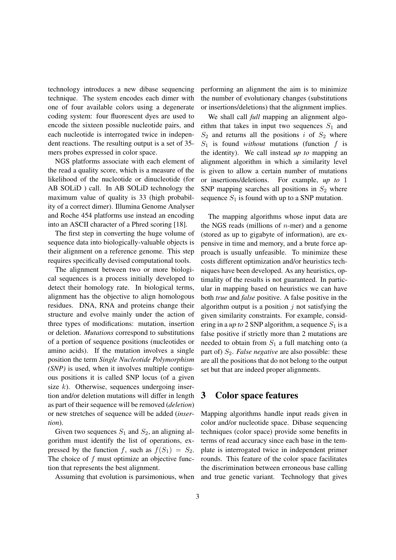technology introduces a new dibase sequencing technique. The system encodes each dimer with one of four available colors using a degenerate coding system: four fluorescent dyes are used to encode the sixteen possible nucleotide pairs, and each nucleotide is interrogated twice in independent reactions. The resulting output is a set of 35 mers probes expressed in color space.

NGS platforms associate with each element of the read a quality score, which is a measure of the likelihood of the nucleotide or dinucleotide (for AB SOLiD ) call. In AB SOLiD technology the maximum value of quality is 33 (high probability of a correct dimer). Illumina Genome Analyser and Roche 454 platforms use instead an encoding into an ASCII character of a Phred scoring [18].

The first step in converting the huge volume of sequence data into biologically-valuable objects is their alignment on a reference genome. This step requires specifically devised computational tools.

The alignment between two or more biological sequences is a process initially developed to detect their homology rate. In biological terms, alignment has the objective to align homologous residues. DNA, RNA and proteins change their structure and evolve mainly under the action of three types of modifications: mutation, insertion or deletion. *Mutations* correspond to substitutions of a portion of sequence positions (nucleotides or amino acids). If the mutation involves a single position the term *Single Nucleotide Polymorphism (SNP)* is used, when it involves multiple contiguous positions it is called SNP locus (of a given size  $k$ ). Otherwise, sequences undergoing insertion and/or deletion mutations will differ in length as part of their sequence will be removed (*deletion*) or new stretches of sequence will be added (*insertion*).

Given two sequences  $S_1$  and  $S_2$ , an aligning algorithm must identify the list of operations, expressed by the function f, such as  $f(S_1) = S_2$ . The choice of  $f$  must optimize an objective function that represents the best alignment.

Assuming that evolution is parsimonious, when

performing an alignment the aim is to minimize the number of evolutionary changes (substitutions or insertions/deletions) that the alignment implies.

We shall call *full* mapping an alignment algorithm that takes in input two sequences  $S_1$  and  $S_2$  and returns all the positions i of  $S_2$  where  $S_1$  is found *without* mutations (function f is the identity). We call instead *up to* mapping an alignment algorithm in which a similarity level is given to allow a certain number of mutations or insertions/deletions. For example, *up to* 1 SNP mapping searches all positions in  $S_2$  where sequence  $S_1$  is found with up to a SNP mutation.

The mapping algorithms whose input data are the NGS reads (millions of  $n$ -mer) and a genome (stored as up to gigabyte of information), are expensive in time and memory, and a brute force approach is usually unfeasible. To minimize these costs different optimization and/or heuristics techniques have been developed. As any heuristics, optimality of the results is not guaranteed. In particular in mapping based on heuristics we can have both *true* and *false* positive. A false positive in the algorithm output is a position  $j$  not satisfying the given similarity constraints. For example, considering in a *up to* 2 SNP algorithm, a sequence  $S_1$  is a false positive if strictly more than 2 mutations are needed to obtain from  $S_1$  a full matching onto (a part of)  $S_2$ . *False negative* are also possible: these are all the positions that do not belong to the output set but that are indeed proper alignments.

## 3 Color space features

Mapping algorithms handle input reads given in color and/or nucleotide space. Dibase sequencing techniques (color space) provide some benefits in terms of read accuracy since each base in the template is interrogated twice in independent primer rounds. This feature of the color space facilitates the discrimination between erroneous base calling and true genetic variant. Technology that gives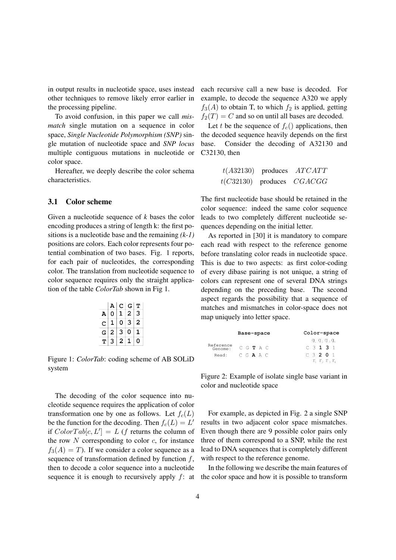in output results in nucleotide space, uses instead other techniques to remove likely error earlier in the processing pipeline.

To avoid confusion, in this paper we call *mismatch* single mutation on a sequence in color space, *Single Nucleotide Polymorphism (SNP)* single mutation of nucleotide space and *SNP locus* multiple contiguous mutations in nucleotide or color space.

Hereafter, we deeply describe the color schema characteristics.

### 3.1 Color scheme

Given a nucleotide sequence of *k* bases the color encoding produces a string of length k: the first positions is a nucleotide base and the remaining *(k-1)* positions are colors. Each color represents four potential combination of two bases. Fig. 1 reports, for each pair of nucleotides, the corresponding color. The translation from nucleotide sequence to color sequence requires only the straight application of the table *ColorTab* shown in Fig 1.

|                           | A              | c              | Ġ              | T |
|---------------------------|----------------|----------------|----------------|---|
| $\boldsymbol{\mathtt{A}}$ | 0              | 1              | $\overline{2}$ | з |
| c                         | $\mathbf 1$    | 0              | 3              | 2 |
| G                         | $\overline{a}$ | 3              | 0              | 1 |
| т                         | 3              | $\overline{2}$ | 1              | 0 |

Figure 1: *ColorTab*: coding scheme of AB SOLiD system

The decoding of the color sequence into nucleotide sequence requires the application of color transformation one by one as follows. Let  $f_c(L)$ be the function for the decoding. Then  $f_c(L) = L'$ if  $ColorTab[c, L'] = L$  (f returns the column of the row  $N$  corresponding to color  $c$ , for instance  $f_3(A) = T$ ). If we consider a color sequence as a sequence of transformation defined by function  $f$ , then to decode a color sequence into a nucleotide sequence it is enough to recursively apply  $f$ : at each recursive call a new base is decoded. For example, to decode the sequence A320 we apply  $f_3(A)$  to obtain T, to which  $f_2$  is applied, getting  $f_2(T) = C$  and so on until all bases are decoded.

Let t be the sequence of  $f_c()$  applications, then the decoded sequence heavily depends on the first base. Consider the decoding of A32130 and C32130, then

| t(A32130) | produces | <i>ATCATT</i> |
|-----------|----------|---------------|
| t(C32130) | produces | CGACGG        |

The first nucleotide base should be retained in the color sequence: indeed the same color sequence leads to two completely different nucleotide sequences depending on the initial letter.

As reported in [30] it is mandatory to compare each read with respect to the reference genome before translating color reads in nucleotide space. This is due to two aspects: as first color-coding of every dibase pairing is not unique, a string of colors can represent one of several DNA strings depending on the preceding base. The second aspect regards the possibility that a sequence of matches and mismatches in color-space does not map uniquely into letter space.

|                      | Base-space      | Color-space                   |
|----------------------|-----------------|-------------------------------|
|                      |                 | $q_1$ , $q_2$ , $q_3$ , $q_4$ |
| Reference<br>Genome: | $C$ G $T$ A $C$ | $C$ 3 1 3 1                   |
| Read:                | $C$ G $A$ A $C$ | $C$ 3 2 0 1                   |
|                      |                 | r, r, r, r                    |

Figure 2: Example of isolate single base variant in color and nucleotide space

For example, as depicted in Fig. 2 a single SNP results in two adjacent color space mismatches. Even though there are 9 possible color pairs only three of them correspond to a SNP, while the rest lead to DNA sequences that is completely different with respect to the reference genome.

In the following we describe the main features of the color space and how it is possible to transform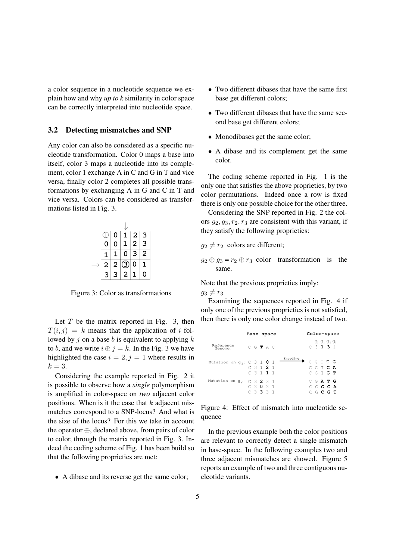a color sequence in a nucleotide sequence we explain how and why *up to k* similarity in color space can be correctly interpreted into nucleotide space.

#### 3.2 Detecting mismatches and SNP

Any color can also be considered as a specific nucleotide transformation. Color 0 maps a base into itself, color 3 maps a nucleotide into its complement, color 1 exchange A in C and G in T and vice versa, finally color 2 completes all possible transformations by exchanging A in G and C in T and vice versa. Colors can be considered as transformations listed in Fig. 3.

|                    | 0                       | $\overline{1}$ | $\overline{2}$          | $\overline{\mathbf{3}}$ |
|--------------------|-------------------------|----------------|-------------------------|-------------------------|
| $\overline{\rm o}$ | $\overline{\mathbf{0}}$ | $\overline{1}$ | $\overline{\mathbf{2}}$ | $\overline{\mathsf{3}}$ |
|                    |                         | 0              | 3                       | 2                       |
| $\overline{c}$     | $\overline{2}$          | $\bar{3}$      | 0                       | 1                       |
| Э                  | 3                       | 2              |                         |                         |

Figure 3: Color as transformations

Let  $T$  be the matrix reported in Fig. 3, then  $T(i, j) = k$  means that the application of i followed by j on a base b is equivalent to applying  $k$ to b, and we write  $i \oplus j = k$ . In the Fig. 3 we have highlighted the case  $i = 2, j = 1$  where results in  $k=3$ .

Considering the example reported in Fig. 2 it is possible to observe how a *single* polymorphism is amplified in color-space on *two* adjacent color positions. When is it the case that  $k$  adjacent mismatches correspond to a SNP-locus? And what is the size of the locus? For this we take in account the operator ⊕, declared above, from pairs of color to color, through the matrix reported in Fig. 3. Indeed the coding scheme of Fig. 1 has been build so that the following proprieties are met:

• A dibase and its reverse get the same color;

- Two different dibases that have the same first base get different colors;
- Two different dibases that have the same second base get different colors;
- Monodibases get the same color;
- A dibase and its complement get the same color.

The coding scheme reported in Fig. 1 is the only one that satisfies the above proprieties, by two color permutations. Indeed once a row is fixed there is only one possible choice for the other three.

Considering the SNP reported in Fig. 2 the colors  $q_2, q_3, r_2, r_3$  are consistent with this variant, if they satisfy the following proprieties:

 $q_2 \neq r_2$  colors are different;

 $q_2 \oplus q_3 = r_2 \oplus r_3$  color transformation is the same.

Note that the previous proprieties imply:  $g_3 \neq r_3$ 

Examining the sequences reported in Fig. 4 if only one of the previous proprieties is not satisfied, then there is only one color change instead of two.

|                                                   | Base-space                             | Color-space                                 |
|---------------------------------------------------|----------------------------------------|---------------------------------------------|
| Reference<br>Genome:                              | CGTAC                                  | 9, 9, 9, 9<br>$C_3$ 1 3 1                   |
| Mutation on $g_3$ : C 3 1 0 1                     | Encoding<br>$C_3$ 1 2 1<br>$C_3$ 1 1 1 | CGTTG<br>CGTCA<br>C G T <b>G T</b>          |
| Mutation on g <sub>2</sub> : $\in$ 3 <b>2</b> 3 1 | C 3 0 3 1<br>$C$ 3 3 3 1               | C G A T G<br>$C$ g $G$ $R$<br>$C$ G $C$ G T |

Figure 4: Effect of mismatch into nucleotide sequence

In the previous example both the color positions are relevant to correctly detect a single mismatch in base-space. In the following examples two and three adjacent mismatches are showed. Figure 5 reports an example of two and three contiguous nucleotide variants.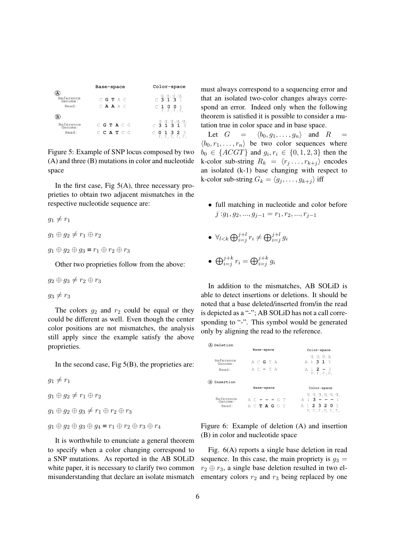|                               | Base-space             | Color-space                                                      |
|-------------------------------|------------------------|------------------------------------------------------------------|
| Reference<br>Genome:<br>Read: | C G T A C<br>C A A A C | $C$ $3$ $1$ $3$ $1$<br>C 1 0 0 1<br>$r_1$ $r_2$ $r_3$ $r_4$      |
| в                             |                        |                                                                  |
| Reference<br>Genome:          | C G T A C G            | $C_1$ $9_1$ $9_2$ $9_3$ $9_4$ $9_5$<br>$C_2$ $3$ $1$ $3$ $1$ $3$ |
| Read:                         | C C A T C G            | $C$ 0 1 3 2 3<br>r, r, r, r, r,                                  |

Figure 5: Example of SNP locus composed by two (A) and three (B) mutations in color and nucleotide space

In the first case, Fig  $5(A)$ , three necessary proprieties to obtain two adjacent mismatches in the respective nucleotide sequence are:

- $g_1 \neq r_1$
- $g_1 \oplus g_2 \neq r_1 \oplus r_2$
- $g_1 \oplus g_2 \oplus g_3 = r_1 \oplus r_2 \oplus r_3$

Other two proprieties follow from the above:

$$
g_2 \oplus g_3 \neq r_2 \oplus r_3
$$

 $g_3 \neq r_3$ 

The colors  $q_2$  and  $r_2$  could be equal or they could be different as well. Even though the center color positions are not mismatches, the analysis still apply since the example satisfy the above proprieties.

In the second case, Fig  $5(B)$ , the proprieties are:

 $g_1 \neq r_1$  $g_1 \oplus g_2 \neq r_1 \oplus r_2$  $g_1 \oplus g_2 \oplus g_3 \neq r_1 \oplus r_2 \oplus r_3$ 

 $g_1 \oplus g_2 \oplus g_3 \oplus g_4 = r_1 \oplus r_2 \oplus r_3 \oplus r_4$ 

It is worthwhile to enunciate a general theorem to specify when a color changing correspond to a SNP mutations. As reported in the AB SOLiD white paper, it is necessary to clarify two common misunderstanding that declare an isolate mismatch must always correspond to a sequencing error and that an isolated two-color changes always correspond an error. Indeed only when the following theorem is satisfied it is possible to consider a mutation true in color space and in base space.

Let  $G = \langle b_0, g_1, \ldots, g_n \rangle$  and R  $\langle b_0, r_1, \ldots, r_n \rangle$  be two color sequences where  $b_0 \in \{ACGT\}$  and  $g_i, r_i \in \{0, 1, 2, 3\}$  then the k-color sub-string  $R_k = \langle r_j ... , r_{k+j} \rangle$  encodes an isolated (k-1) base changing with respect to k-color sub-string  $G_k = \langle g_j , \ldots , g_{k+j} \rangle$  iff

- full matching in nucleotide and color before  $j: g_1, g_2, ..., g_{j-1} = r_1, r_2, ..., r_{j-1}$
- $\bullet \ \forall_{l < k} \bigoplus_{i=j}^{j+l} r_i \neq \bigoplus_{i=j}^{j+l} g_i$
- $\bigoplus_{i=j}^{j+k} r_i = \bigoplus_{i=j}^{j+k} g_i$

In addition to the mismatches, AB SOLiD is able to detect insertions or deletions. It should be noted that a base deleted/inserted from/in the read is depicted as a "-"; AB SOLiD has not a call corresponding to "-". This symbol would be generated only by aligning the read to the reference.

| Deletion             |                      |                                      |
|----------------------|----------------------|--------------------------------------|
|                      | Base-space           | Color-space                          |
| Reference<br>Genome: | A C G T A            | $q_1$ $q_2$ $q_3$ $q_4$<br>A 1 3 1 3 |
| Read:                | $AC - TA$            | $A 1 2 - 3$<br>$r, r, r, r_a$        |
| Insertion<br>(B)     |                      |                                      |
|                      | Base-space           | Color-space                          |
| Reference<br>Genome: | $A$ $C$ $   G$ $T$   | 9, 9, 9, 9, 9, 9,<br>$A$ 1 3 - - - 1 |
| Read:                | A C <b>T A G</b> G T | A 1 2 3 2 0<br>r, r, r, r, r, r, r   |

Figure 6: Example of deletion (A) and insertion (B) in color and nucleotide space

Fig. 6(A) reports a single base deletion in read sequence. In this case, the main propriety is  $q_3$  =  $r_2 \oplus r_3$ , a single base deletion resulted in two elementary colors  $r_2$  and  $r_3$  being replaced by one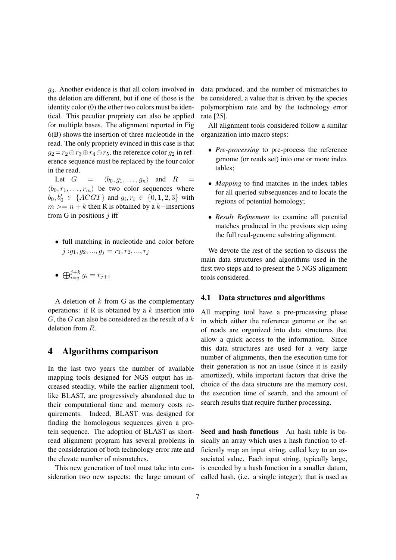$g_3$ . Another evidence is that all colors involved in the deletion are different, but if one of those is the identity color (0) the other two colors must be identical. This peculiar propriety can also be applied for multiple bases. The alignment reported in Fig 6(B) shows the insertion of three nucleotide in the read. The only propriety evinced in this case is that  $g_2 = r_2 \oplus r_3 \oplus r_4 \oplus r_5$ , the reference color  $g_2$  in reference sequence must be replaced by the four color in the read.

Let  $G = \langle b_0, g_1, \ldots, g_n \rangle$  and  $R =$  $\langle b_0, r_1, \ldots, r_m \rangle$  be two color sequences where  $b_0, b'_0 \in \{ACGT\}$  and  $g_i, r_i \in \{0, 1, 2, 3\}$  with  $m \ge n + k$  then R is obtained by a k−insertions from G in positions  $j$  iff

- full matching in nucleotide and color before  $j: g_1, g_2, ..., g_j = r_1, r_2, ..., r_j$
- $\bigoplus_{i=j}^{j+k} g_i = r_{j+1}$

A deletion of  $k$  from G as the complementary operations: if R is obtained by a  $k$  insertion into  $G$ , the  $G$  can also be considered as the result of a  $k$ deletion from R.

## 4 Algorithms comparison

In the last two years the number of available mapping tools designed for NGS output has increased steadily, while the earlier alignment tool, like BLAST, are progressively abandoned due to their computational time and memory costs requirements. Indeed, BLAST was designed for finding the homologous sequences given a protein sequence. The adoption of BLAST as shortread alignment program has several problems in the consideration of both technology error rate and the elevate number of mismatches.

This new generation of tool must take into consideration two new aspects: the large amount of data produced, and the number of mismatches to be considered, a value that is driven by the species polymorphism rate and by the technology error rate [25].

All alignment tools considered follow a similar organization into macro steps:

- *Pre-processing* to pre-process the reference genome (or reads set) into one or more index tables;
- *Mapping* to find matches in the index tables for all queried subsequences and to locate the regions of potential homology;
- *Result Refinement* to examine all potential matches produced in the previous step using the full read-genome substring alignment.

We devote the rest of the section to discuss the main data structures and algorithms used in the first two steps and to present the 5 NGS alignment tools considered.

#### 4.1 Data structures and algorithms

All mapping tool have a pre-processing phase in which either the reference genome or the set of reads are organized into data structures that allow a quick access to the information. Since this data structures are used for a very large number of alignments, then the execution time for their generation is not an issue (since it is easily amortized), while important factors that drive the choice of the data structure are the memory cost, the execution time of search, and the amount of search results that require further processing.

Seed and hash functions An hash table is basically an array which uses a hash function to efficiently map an input string, called key to an associated value. Each input string, typically large, is encoded by a hash function in a smaller datum, called hash, (i.e. a single integer); that is used as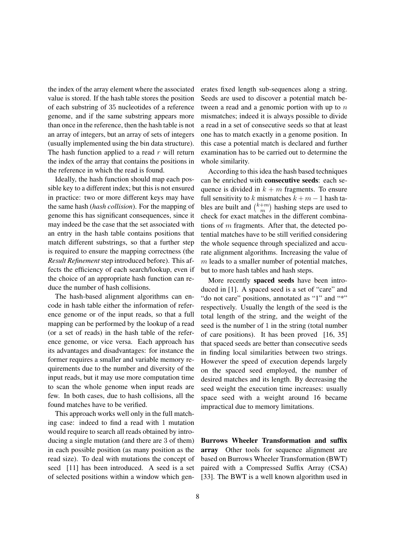the index of the array element where the associated value is stored. If the hash table stores the position of each substring of 35 nucleotides of a reference genome, and if the same substring appears more than once in the reference, then the hash table is not an array of integers, but an array of sets of integers (usually implemented using the bin data structure). The hash function applied to a read  $r$  will return the index of the array that contains the positions in the reference in which the read is found.

Ideally, the hash function should map each possible key to a different index; but this is not ensured in practice: two or more different keys may have the same hash (*hash collision*). For the mapping of genome this has significant consequences, since it may indeed be the case that the set associated with an entry in the hash table contains positions that match different substrings, so that a further step is required to ensure the mapping correctness (the *Result Refinement* step introduced before). This affects the efficiency of each search/lookup, even if the choice of an appropriate hash function can reduce the number of hash collisions.

The hash-based alignment algorithms can encode in hash table either the information of reference genome or of the input reads, so that a full mapping can be performed by the lookup of a read (or a set of reads) in the hash table of the reference genome, or vice versa. Each approach has its advantages and disadvantages: for instance the former requires a smaller and variable memory requirements due to the number and diversity of the input reads, but it may use more computation time to scan the whole genome when input reads are few. In both cases, due to hash collisions, all the found matches have to be verified.

This approach works well only in the full matching case: indeed to find a read with 1 mutation would require to search all reads obtained by introducing a single mutation (and there are 3 of them) in each possible position (as many position as the read size). To deal with mutations the concept of seed [11] has been introduced. A seed is a set of selected positions within a window which generates fixed length sub-sequences along a string. Seeds are used to discover a potential match between a read and a genomic portion with up to  $n$ mismatches; indeed it is always possible to divide a read in a set of consecutive seeds so that at least one has to match exactly in a genome position. In this case a potential match is declared and further examination has to be carried out to determine the whole similarity.

According to this idea the hash based techniques can be enriched with consecutive seeds: each sequence is divided in  $k + m$  fragments. To ensure full sensitivity to k mismatches  $k + m - 1$  hash tables are built and  $\binom{k+m}{m}$  $\binom{+m}{m}$  hashing steps are used to check for exact matches in the different combinations of  $m$  fragments. After that, the detected potential matches have to be still verified considering the whole sequence through specialized and accurate alignment algorithms. Increasing the value of m leads to a smaller number of potential matches, but to more hash tables and hash steps.

More recently spaced seeds have been introduced in [1]. A spaced seed is a set of "care" and "do not care" positions, annotated as "1" and "\*" respectively. Usually the length of the seed is the total length of the string, and the weight of the seed is the number of 1 in the string (total number of care positions). It has been proved [16, 35] that spaced seeds are better than consecutive seeds in finding local similarities between two strings. However the speed of execution depends largely on the spaced seed employed, the number of desired matches and its length. By decreasing the seed weight the execution time increases: usually space seed with a weight around 16 became impractical due to memory limitations.

Burrows Wheeler Transformation and suffix array Other tools for sequence alignment are based on Burrows Wheeler Transformation (BWT) paired with a Compressed Suffix Array (CSA) [33]. The BWT is a well known algorithm used in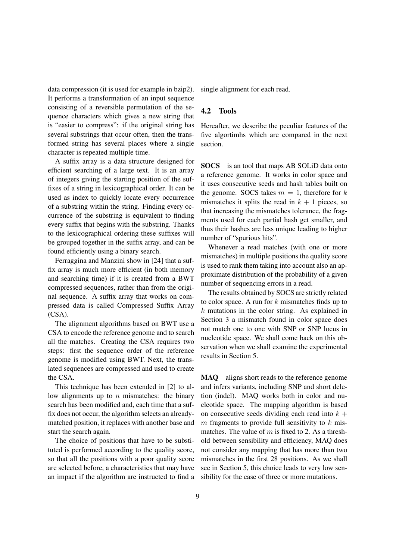data compression (it is used for example in bzip2). It performs a transformation of an input sequence consisting of a reversible permutation of the sequence characters which gives a new string that is "easier to compress": if the original string has several substrings that occur often, then the transformed string has several places where a single character is repeated multiple time.

A suffix array is a data structure designed for efficient searching of a large text. It is an array of integers giving the starting position of the suffixes of a string in lexicographical order. It can be used as index to quickly locate every occurrence of a substring within the string. Finding every occurrence of the substring is equivalent to finding every suffix that begins with the substring. Thanks to the lexicographical ordering these suffixes will be grouped together in the suffix array, and can be found efficiently using a binary search.

Ferraggina and Manzini show in [24] that a suffix array is much more efficient (in both memory and searching time) if it is created from a BWT compressed sequences, rather than from the original sequence. A suffix array that works on compressed data is called Compressed Suffix Array (CSA).

The alignment algorithms based on BWT use a CSA to encode the reference genome and to search all the matches. Creating the CSA requires two steps: first the sequence order of the reference genome is modified using BWT. Next, the translated sequences are compressed and used to create the CSA.

This technique has been extended in [2] to allow alignments up to  $n$  mismatches: the binary search has been modified and, each time that a suffix does not occur, the algorithm selects an alreadymatched position, it replaces with another base and start the search again.

The choice of positions that have to be substituted is performed according to the quality score, so that all the positions with a poor quality score are selected before, a characteristics that may have an impact if the algorithm are instructed to find a single alignment for each read.

#### 4.2 Tools

Hereafter, we describe the peculiar features of the five algortimhs which are compared in the next section.

SOCS is an tool that maps AB SOLiD data onto a reference genome. It works in color space and it uses consecutive seeds and hash tables built on the genome. SOCS takes  $m = 1$ , therefore for k mismatches it splits the read in  $k + 1$  pieces, so that increasing the mismatches tolerance, the fragments used for each partial hash get smaller, and thus their hashes are less unique leading to higher number of "spurious hits".

Whenever a read matches (with one or more mismatches) in multiple positions the quality score is used to rank them taking into account also an approximate distribution of the probability of a given number of sequencing errors in a read.

The results obtained by SOCS are strictly related to color space. A run for  $k$  mismatches finds up to  $k$  mutations in the color string. As explained in Section 3 a mismatch found in color space does not match one to one with SNP or SNP locus in nucleotide space. We shall come back on this observation when we shall examine the experimental results in Section 5.

MAQ aligns short reads to the reference genome and infers variants, including SNP and short deletion (indel). MAQ works both in color and nucleotide space. The mapping algorithm is based on consecutive seeds dividing each read into  $k +$  $m$  fragments to provide full sensitivity to  $k$  mismatches. The value of  $m$  is fixed to 2. As a threshold between sensibility and efficiency, MAQ does not consider any mapping that has more than two mismatches in the first 28 positions. As we shall see in Section 5, this choice leads to very low sensibility for the case of three or more mutations.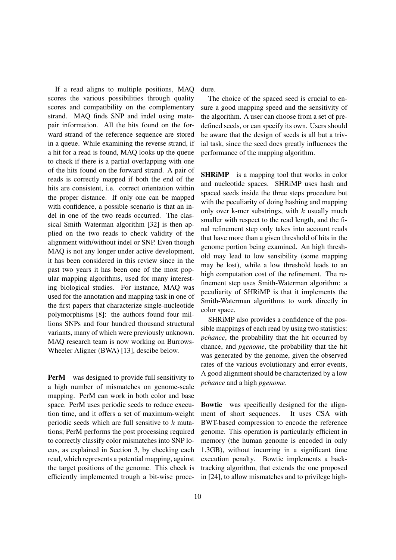If a read aligns to multiple positions, MAQ scores the various possibilities through quality scores and compatibility on the complementary strand. MAQ finds SNP and indel using matepair information. All the hits found on the forward strand of the reference sequence are stored in a queue. While examining the reverse strand, if a hit for a read is found, MAQ looks up the queue to check if there is a partial overlapping with one of the hits found on the forward strand. A pair of reads is correctly mapped if both the end of the hits are consistent, i.e. correct orientation within the proper distance. If only one can be mapped with confidence, a possible scenario is that an indel in one of the two reads occurred. The classical Smith Waterman algorithm [32] is then applied on the two reads to check validity of the alignment with/without indel or SNP. Even though MAQ is not any longer under active development, it has been considered in this review since in the past two years it has been one of the most popular mapping algorithms, used for many interesting biological studies. For instance, MAQ was used for the annotation and mapping task in one of the first papers that characterize single-nucleotide polymorphisms [8]: the authors found four millions SNPs and four hundred thousand structural variants, many of which were previously unknown. MAQ research team is now working on Burrows-Wheeler Aligner (BWA) [13], descibe below.

**PerM** was designed to provide full sensitivity to a high number of mismatches on genome-scale mapping. PerM can work in both color and base space. PerM uses periodic seeds to reduce execution time, and it offers a set of maximum-weight periodic seeds which are full sensitive to  $k$  mutations; PerM performs the post processing required to correctly classify color mismatches into SNP locus, as explained in Section 3, by checking each read, which represents a potential mapping, against the target positions of the genome. This check is efficiently implemented trough a bit-wise procedure.

The choice of the spaced seed is crucial to ensure a good mapping speed and the sensitivity of the algorithm. A user can choose from a set of predefined seeds, or can specify its own. Users should be aware that the design of seeds is all but a trivial task, since the seed does greatly influences the performance of the mapping algorithm.

**SHRIMP** is a mapping tool that works in color and nucleotide spaces. SHRiMP uses hash and spaced seeds inside the three steps procedure but with the peculiarity of doing hashing and mapping only over k-mer substrings, with  $k$  usually much smaller with respect to the read length, and the final refinement step only takes into account reads that have more than a given threshold of hits in the genome portion being examined. An high threshold may lead to low sensibility (some mapping may be lost), while a low threshold leads to an high computation cost of the refinement. The refinement step uses Smith-Waterman algorithm: a peculiarity of SHRiMP is that it implements the Smith-Waterman algorithms to work directly in color space.

SHRiMP also provides a confidence of the possible mappings of each read by using two statistics: *pchance*, the probability that the hit occurred by chance, and *pgenome*, the probability that the hit was generated by the genome, given the observed rates of the various evolutionary and error events, A good alignment should be characterized by a low *pchance* and a high *pgenome*.

Bowtie was specifically designed for the alignment of short sequences. It uses CSA with BWT-based compression to encode the reference genome. This operation is particularly efficient in memory (the human genome is encoded in only 1.3GB), without incurring in a significant time execution penalty. Bowtie implements a backtracking algorithm, that extends the one proposed in [24], to allow mismatches and to privilege high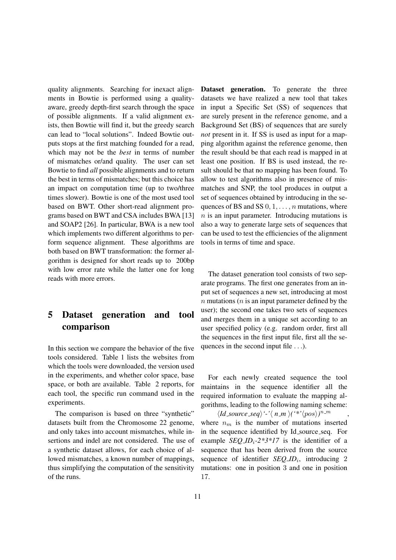quality alignments. Searching for inexact alignments in Bowtie is performed using a qualityaware, greedy depth-first search through the space of possible alignments. If a valid alignment exists, then Bowtie will find it, but the greedy search can lead to "local solutions". Indeed Bowtie outputs stops at the first matching founded for a read, which may not be the *best* in terms of number of mismatches or/and quality. The user can set Bowtie to find *all* possible alignments and to return the best in terms of mismatches; but this choice has an impact on computation time (up to two/three times slower). Bowtie is one of the most used tool based on BWT. Other short-read alignment programs based on BWT and CSA includes BWA [13] and SOAP2 [26]. In particular, BWA is a new tool which implements two different algorithms to perform sequence alignment. These algorithms are both based on BWT transformation: the former algorithm is designed for short reads up to 200bp with low error rate while the latter one for long reads with more errors.

# 5 Dataset generation and tool comparison

In this section we compare the behavior of the five tools considered. Table 1 lists the websites from which the tools were downloaded, the version used in the experiments, and whether color space, base space, or both are available. Table 2 reports, for each tool, the specific run command used in the experiments.

The comparison is based on three "synthetic" datasets built from the Chromosome 22 genome, and only takes into account mismatches, while insertions and indel are not considered. The use of a synthetic dataset allows, for each choice of allowed mismatches, a known number of mappings, thus simplifying the computation of the sensitivity of the runs.

Dataset generation. To generate the three datasets we have realized a new tool that takes in input a Specific Set (SS) of sequences that are surely present in the reference genome, and a Background Set (BS) of sequences that are surely *not* present in it. If SS is used as input for a mapping algorithm against the reference genome, then the result should be that each read is mapped in at least one position. If BS is used instead, the result should be that no mapping has been found. To allow to test algorithms also in presence of mismatches and SNP, the tool produces in output a set of sequences obtained by introducing in the sequences of BS and SS  $0, 1, \ldots, n$  mutations, where  $n$  is an input parameter. Introducing mutations is also a way to generate large sets of sequences that can be used to test the efficiencies of the alignment tools in terms of time and space.

The dataset generation tool consists of two separate programs. The first one generates from an input set of sequences a new set, introducing at most  $n$  mutations ( $n$  is an input parameter defined by the user); the second one takes two sets of sequences and merges them in a unique set according to an user specified policy (e.g. random order, first all the sequences in the first input file, first all the sequences in the second input file . . .).

For each newly created sequence the tool maintains in the sequence identifier all the required information to evaluate the mapping algorithms, leading to the following naming scheme:

 $\langle Id\_source\_seq \rangle'$ -' $\langle n_m \rangle (f^* \langle pos \rangle)^{n_m}$ , where  $n_m$  is the number of mutations inserted in the sequence identified by Id source seq. For example *SEQ*  $ID_i$ *-2\*3\*17* is the identifier of a sequence that has been derived from the source sequence of identifier *SEQ\_ID<sub>i</sub>*, introducing 2 mutations: one in position 3 and one in position 17.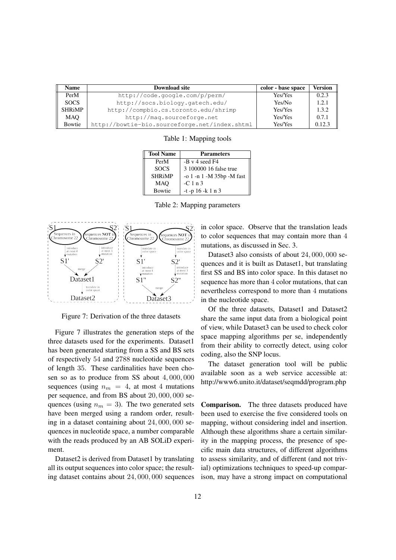| Name          | <b>Download site</b>                          | color - base space | <b>Version</b> |
|---------------|-----------------------------------------------|--------------------|----------------|
| PerM          | http://code.google.com/p/perm/                | Yes/Yes            | 0.2.3          |
| <b>SOCS</b>   | http://socs.biology.gatech.edu/               | Yes/No             | 1.2.1          |
| <b>SHRiMP</b> | http://compbio.cs.toronto.edu/shrimp          | Yes/Yes            | 1.3.2          |
| <b>MAO</b>    | http://maq.sourceforge.net                    | Yes/Yes            | 0.7.1          |
| Bowtie        | http://bowtie-bio.sourceforge.net/index.shtml | Yes/Yes            | 0.12.3         |

Table 1: Mapping tools

| <b>Tool Name</b> | <b>Parameters</b>         |
|------------------|---------------------------|
| PerM             | $-B \vee 4$ seed F4       |
| <b>SOCS</b>      | 3 100000 16 false true    |
| <b>SHRiMP</b>    | -o 1 -n 1 -M 35bp -M fast |
| <b>MAO</b>       | $-C1n3$                   |
| <b>Bowtie</b>    | $-t$ -p 16 -k 1 n 3       |

Table 2: Mapping parameters



Figure 7: Derivation of the three datasets

Figure 7 illustrates the generation steps of the three datasets used for the experiments. Dataset1 has been generated starting from a SS and BS sets of respectively 54 and 2788 nucleotide sequences of length 35. These cardinalities have been chosen so as to produce from SS about 4, 000, 000 sequences (using  $n_m = 4$ , at most 4 mutations per sequence, and from BS about 20, 000, 000 sequences (using  $n_m = 3$ ). The two generated sets have been merged using a random order, resulting in a dataset containing about 24, 000, 000 sequences in nucleotide space, a number comparable with the reads produced by an AB SOLiD experiment.

Dataset2 is derived from Dataset1 by translating all its output sequences into color space; the resulting dataset contains about 24, 000, 000 sequences in color space. Observe that the translation leads to color sequences that may contain more than 4 mutations, as discussed in Sec. 3.

Dataset3 also consists of about 24, 000, 000 sequences and it is built as Dataset1, but translating first SS and BS into color space. In this dataset no sequence has more than 4 color mutations, that can nevertheless correspond to more than 4 mutations in the nucleotide space.

Of the three datasets, Dataset1 and Dataset2 share the same input data from a biological point of view, while Dataset3 can be used to check color space mapping algorithms per se, independently from their ability to correctly detect, using color coding, also the SNP locus.

The dataset generation tool will be public available soon as a web service accessible at: http://www6.unito.it/dataset/seqmdd/program.php

Comparison. The three datasets produced have been used to exercise the five considered tools on mapping, without considering indel and insertion. Although these algorithms share a certain similarity in the mapping process, the presence of specific main data structures, of different algorithms to assess similarity, and of different (and not trivial) optimizations techniques to speed-up comparison, may have a strong impact on computational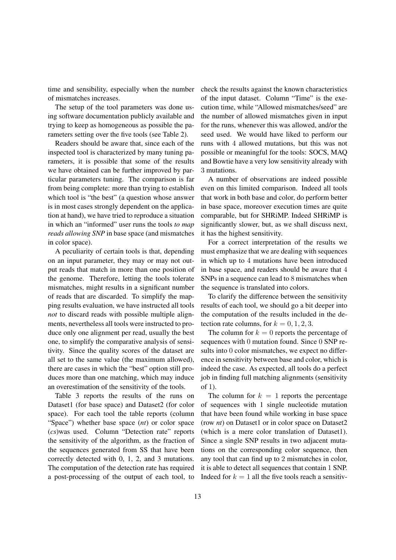time and sensibility, especially when the number of mismatches increases.

The setup of the tool parameters was done using software documentation publicly available and trying to keep as homogeneous as possible the parameters setting over the five tools (see Table 2).

Readers should be aware that, since each of the inspected tool is characterized by many tuning parameters, it is possible that some of the results we have obtained can be further improved by particular parameters tuning. The comparison is far from being complete: more than trying to establish which tool is "the best" (a question whose answer is in most cases strongly dependent on the application at hand), we have tried to reproduce a situation in which an "informed" user runs the tools *to map reads allowing SNP* in base space (and mismatches in color space).

A peculiarity of certain tools is that, depending on an input parameter, they may or may not output reads that match in more than one position of the genome. Therefore, letting the tools tolerate mismatches, might results in a significant number of reads that are discarded. To simplify the mapping results evaluation, we have instructed all tools *not* to discard reads with possible multiple alignments, nevertheless all tools were instructed to produce only one alignment per read, usually the best one, to simplify the comparative analysis of sensitivity. Since the quality scores of the dataset are all set to the same value (the maximum allowed), there are cases in which the "best" option still produces more than one matching, which may induce an overestimation of the sensitivity of the tools.

Table 3 reports the results of the runs on Dataset1 (for base space) and Dataset2 (for color space). For each tool the table reports (column "Space") whether base space (*nt*) or color space (*cs*)was used. Column "Detection rate" reports the sensitivity of the algorithm, as the fraction of the sequences generated from SS that have been correctly detected with 0, 1, 2, and 3 mutations. The computation of the detection rate has required a post-processing of the output of each tool, to check the results against the known characteristics of the input dataset. Column "Time" is the execution time, while "Allowed mismatches/seed" are the number of allowed mismatches given in input for the runs, whenever this was allowed, and/or the seed used. We would have liked to perform our runs with 4 allowed mutations, but this was not possible or meaningful for the tools: SOCS, MAQ and Bowtie have a very low sensitivity already with 3 mutations.

A number of observations are indeed possible even on this limited comparison. Indeed all tools that work in both base and color, do perform better in base space, moreover execution times are quite comparable, but for SHRiMP. Indeed SHRiMP is significantly slower, but, as we shall discuss next, it has the highest sensitivity.

For a correct interpretation of the results we must emphasize that we are dealing with sequences in which up to 4 mutations have been introduced in base space, and readers should be aware that 4 SNPs in a sequence can lead to 8 mismatches when the sequence is translated into colors.

To clarify the difference between the sensitivity results of each tool, we should go a bit deeper into the computation of the results included in the detection rate columns, for  $k = 0, 1, 2, 3$ .

The column for  $k = 0$  reports the percentage of sequences with 0 mutation found. Since 0 SNP results into 0 color mismatches, we expect no difference in sensitivity between base and color, which is indeed the case. As expected, all tools do a perfect job in finding full matching alignments (sensitivity of 1).

The column for  $k = 1$  reports the percentage of sequences with 1 single nucleotide mutation that have been found while working in base space (row *nt*) on Dataset1 or in color space on Dataset2 (which is a mere color translation of Dataset1). Since a single SNP results in two adjacent mutations on the corresponding color sequence, then any tool that can find up to 2 mismatches in color, it is able to detect all sequences that contain 1 SNP. Indeed for  $k = 1$  all the five tools reach a sensitiv-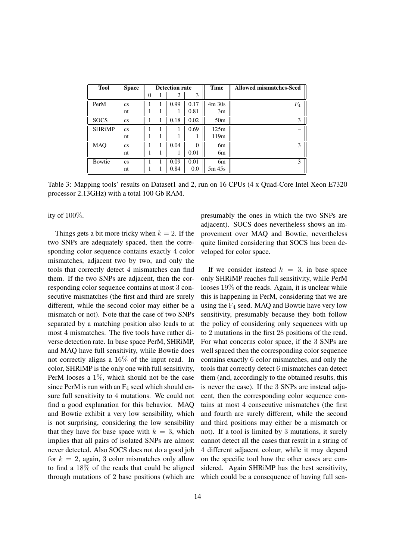| <b>Tool</b>   | <b>Space</b>           | <b>Detection rate</b> |  | <b>Time</b> | <b>Allowed mismatches-Seed</b> |                 |       |
|---------------|------------------------|-----------------------|--|-------------|--------------------------------|-----------------|-------|
|               |                        | $\theta$              |  | 2           | 3                              |                 |       |
| PerM          | $\mathbf{c}\mathbf{s}$ |                       |  | 0.99        | 0.17                           | $4m$ 30s        | $F_4$ |
|               | nt                     |                       |  |             | 0.81                           | 3m              |       |
| <b>SOCS</b>   | $\mathbf{c}\mathbf{s}$ |                       |  | 0.18        | 0.02                           | 50 <sub>m</sub> | 3     |
| <b>SHRiMP</b> | $\mathbf{c}\mathbf{s}$ |                       |  |             | 0.69                           | 125m            |       |
|               | nt                     |                       |  |             |                                | 119m            |       |
| <b>MAQ</b>    | $\mathbf{c}\mathbf{s}$ |                       |  | 0.04        | $\Omega$                       | 6m              | 3     |
|               | nt                     |                       |  |             | 0.01                           | 6m              |       |
| Bowtie        | $\mathbf{c}\mathbf{s}$ |                       |  | 0.09        | 0.01                           | 6m              | 3     |
|               | nt                     |                       |  | 0.84        | 0.0                            | 5m 45s          |       |

Table 3: Mapping tools' results on Dataset1 and 2, run on 16 CPUs (4 x Quad-Core Intel Xeon E7320 processor 2.13GHz) with a total 100 Gb RAM.

ity of 100%.

Things gets a bit more tricky when  $k = 2$ . If the two SNPs are adequately spaced, then the corresponding color sequence contains exactly 4 color mismatches, adjacent two by two, and only the tools that correctly detect 4 mismatches can find them. If the two SNPs are adjacent, then the corresponding color sequence contains at most 3 consecutive mismatches (the first and third are surely different, while the second color may either be a mismatch or not). Note that the case of two SNPs separated by a matching position also leads to at most 4 mismatches. The five tools have rather diverse detection rate. In base space PerM, SHRiMP, and MAQ have full sensitivity, while Bowtie does not correctly aligns a 16% of the input read. In color, SHRiMP is the only one with full sensitivity, PerM looses a 1%, which should not be the case since PerM is run with an  $F_4$  seed which should ensure full sensitivity to 4 mutations. We could not find a good explanation for this behavior. MAQ and Bowtie exhibit a very low sensibility, which is not surprising, considering the low sensibility that they have for base space with  $k = 3$ , which implies that all pairs of isolated SNPs are almost never detected. Also SOCS does not do a good job for  $k = 2$ , again, 3 color mismatches only allow to find a 18% of the reads that could be aligned through mutations of 2 base positions (which are presumably the ones in which the two SNPs are adjacent). SOCS does nevertheless shows an improvement over MAQ and Bowtie, nevertheless quite limited considering that SOCS has been developed for color space.

If we consider instead  $k = 3$ , in base space only SHRiMP reaches full sensitivity, while PerM looses 19% of the reads. Again, it is unclear while this is happening in PerM, considering that we are using the  $F_4$  seed. MAQ and Bowtie have very low sensitivity, presumably because they both follow the policy of considering only sequences with up to 2 mutations in the first 28 positions of the read. For what concerns color space, if the 3 SNPs are well spaced then the corresponding color sequence contains exactly 6 color mismatches, and only the tools that correctly detect 6 mismatches can detect them (and, accordingly to the obtained results, this is never the case). If the 3 SNPs are instead adjacent, then the corresponding color sequence contains at most 4 consecutive mismatches (the first and fourth are surely different, while the second and third positions may either be a mismatch or not). If a tool is limited by 3 mutations, it surely cannot detect all the cases that result in a string of 4 different adjacent colour, while it may depend on the specific tool how the other cases are considered. Again SHRiMP has the best sensitivity, which could be a consequence of having full sen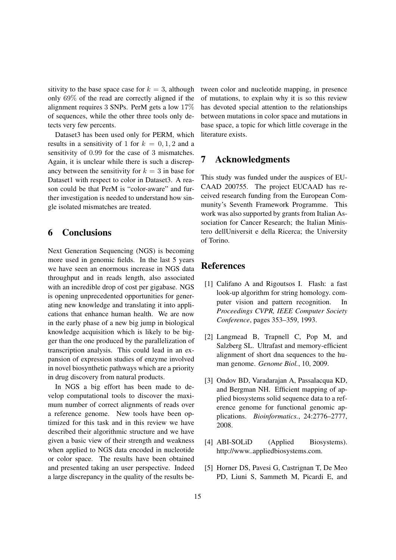sitivity to the base space case for  $k = 3$ , although only 69% of the read are correctly aligned if the alignment requires 3 SNPs. PerM gets a low 17% of sequences, while the other three tools only detects very few percents.

Dataset3 has been used only for PERM, which results in a sensitivity of 1 for  $k = 0, 1, 2$  and a sensitivity of 0.99 for the case of 3 mismatches. Again, it is unclear while there is such a discrepancy between the sensitivity for  $k = 3$  in base for Dataset1 with respect to color in Dataset3. A reason could be that PerM is "color-aware" and further investigation is needed to understand how single isolated mismatches are treated.

# 6 Conclusions

Next Generation Sequencing (NGS) is becoming more used in genomic fields. In the last 5 years we have seen an enormous increase in NGS data throughput and in reads length, also associated with an incredible drop of cost per gigabase. NGS is opening unprecedented opportunities for generating new knowledge and translating it into applications that enhance human health. We are now in the early phase of a new big jump in biological knowledge acquisition which is likely to be bigger than the one produced by the parallelization of transcription analysis. This could lead in an expansion of expression studies of enzyme involved in novel biosynthetic pathways which are a priority in drug discovery from natural products.

In NGS a big effort has been made to develop computational tools to discover the maximum number of correct alignments of reads over a reference genome. New tools have been optimized for this task and in this review we have described their algorithmic structure and we have given a basic view of their strength and weakness when applied to NGS data encoded in nucleotide or color space. The results have been obtained and presented taking an user perspective. Indeed a large discrepancy in the quality of the results between color and nucleotide mapping, in presence of mutations, to explain why it is so this review has devoted special attention to the relationships between mutations in color space and mutations in base space, a topic for which little coverage in the literature exists.

# 7 Acknowledgments

This study was funded under the auspices of EU-CAAD 200755. The project EUCAAD has received research funding from the European Community's Seventh Framework Programme. This work was also supported by grants from Italian Association for Cancer Research; the Italian Ministero dellUniversit e della Ricerca; the University of Torino.

# References

- [1] Califano A and Rigoutsos I. Flash: a fast look-up algorithm for string homology. computer vision and pattern recognition. In *Proceedings CVPR, IEEE Computer Society Conference*, pages 353–359, 1993.
- [2] Langmead B, Trapnell C, Pop M, and Salzberg SL. Ultrafast and memory-efficient alignment of short dna sequences to the human genome. *Genome Biol.*, 10, 2009.
- [3] Ondov BD, Varadarajan A, Passalacqua KD, and Bergman NH. Efficient mapping of applied biosystems solid sequence data to a reference genome for functional genomic applications. *Bioinformatics.*, 24:2776–2777, 2008.
- [4] ABI-SOLiD (Applied Biosystems). http://www..appliedbiosystems.com.
- [5] Horner DS, Pavesi G, Castrignan T, De Meo PD, Liuni S, Sammeth M, Picardi E, and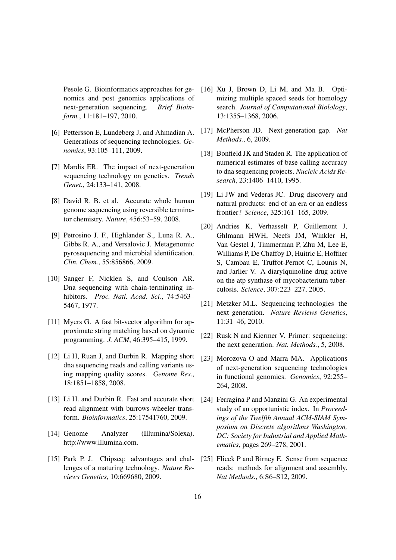Pesole G. Bioinformatics approaches for genomics and post genomics applications of next-generation sequencing. *Brief Bioinform.*, 11:181–197, 2010.

- [6] Pettersson E, Lundeberg J, and Ahmadian A. Generations of sequencing technologies. *Genomics*, 93:105–111, 2009.
- [7] Mardis ER. The impact of next-generation sequencing technology on genetics. *Trends Genet.*, 24:133–141, 2008.
- [8] David R. B. et al. Accurate whole human genome sequencing using reversible terminator chemistry. *Nature*, 456:53–59, 2008.
- [9] Petrosino J. F., Highlander S., Luna R. A., Gibbs R. A., and Versalovic J. Metagenomic pyrosequencing and microbial identification. *Clin. Chem.*, 55:856866, 2009.
- [10] Sanger F, Nicklen S, and Coulson AR. Dna sequencing with chain-terminating inhibitors. *Proc. Natl. Acad. Sci.*, 74:5463– 5467, 1977.
- [11] Myers G. A fast bit-vector algorithm for approximate string matching based on dynamic programming. *J. ACM*, 46:395–415, 1999.
- [12] Li H, Ruan J, and Durbin R. Mapping short dna sequencing reads and calling variants using mapping quality scores. *Genome Res.*, 18:1851–1858, 2008.
- [13] Li H. and Durbin R. Fast and accurate short read alignment with burrows-wheeler transform. *Bioinformatics*, 25:17541760, 2009.
- [14] Genome Analyzer (Illumina/Solexa). http://www.illumina.com.
- [15] Park P. J. Chipseq: advantages and challenges of a maturing technology. *Nature Reviews Genetics*, 10:669680, 2009.
- [16] Xu J, Brown D, Li M, and Ma B. Optimizing multiple spaced seeds for homology search. *Journal of Computational Biolology*, 13:1355–1368, 2006.
- [17] McPherson JD. Next-generation gap. *Nat Methods.*, 6, 2009.
- [18] Bonfield JK and Staden R. The application of numerical estimates of base calling accuracy to dna sequencing projects. *Nucleic Acids Research*, 23:1406–1410, 1995.
- [19] Li JW and Vederas JC. Drug discovery and natural products: end of an era or an endless frontier? *Science*, 325:161–165, 2009.
- [20] Andries K, Verhasselt P, Guillemont J, Ghlmann HWH, Neefs JM, Winkler H, Van Gestel J, Timmerman P, Zhu M, Lee E, Williams P, De Chaffoy D, Huitric E, Hoffner S, Cambau E, Truffot-Pernot C, Lounis N, and Jarlier V. A diarylquinoline drug active on the atp synthase of mycobacterium tuberculosis. *Science*, 307:223–227, 2005.
- [21] Metzker M.L. Sequencing technologies the next generation. *Nature Reviews Genetics*, 11:31–46, 2010.
- [22] Rusk N and Kiermer V. Primer: sequencing: the next generation. *Nat. Methods.*, 5, 2008.
- [23] Morozova O and Marra MA. Applications of next-generation sequencing technologies in functional genomics. *Genomics*, 92:255– 264, 2008.
- [24] Ferragina P and Manzini G. An experimental study of an opportunistic index. In *Proceedings of the Twelfth Annual ACM-SIAM Symposium on Discrete algorithms Washington, DC: Society for Industrial and Applied Mathematics*, pages 269–278, 2001.
- [25] Flicek P and Birney E. Sense from sequence reads: methods for alignment and assembly. *Nat Methods.*, 6:S6–S12, 2009.